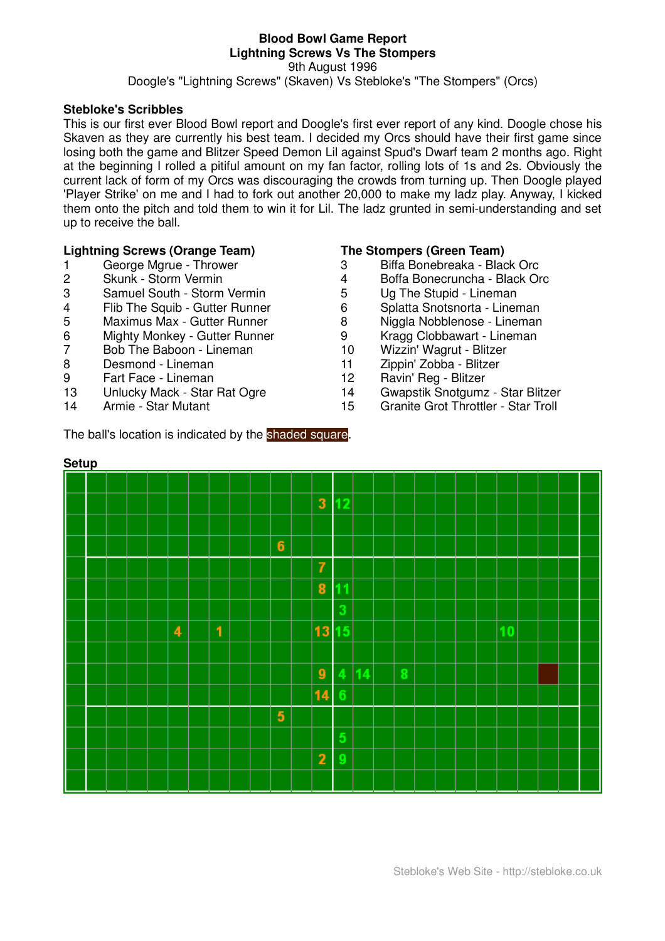#### **Blood Bowl Game Report Lightning Screws Vs The Stompers** 9th August 1996 Doogle's "Lightning Screws" (Skaven) Vs Stebloke's "The Stompers" (Orcs)

### **Stebloke's Scribbles**

This is our first ever Blood Bowl report and Doogle's first ever report of any kind. Doogle chose his Skaven as they are currently his best team. I decided my Orcs should have their first game since losing both the game and Blitzer Speed Demon Lil against Spud's Dwarf team 2 months ago. Right at the beginning I rolled a pitiful amount on my fan factor, rolling lots of 1s and 2s. Obviously the current lack of form of my Orcs was discouraging the crowds from turning up. Then Doogle played 'Player Strike' on me and I had to fork out another 20,000 to make my ladz play. Anyway, I kicked them onto the pitch and told them to win it for Lil. The ladz grunted in semi-understanding and set up to receive the ball.

### **Lightning Screws (Orange Team) The Stompers (Green Team)**

- 
- 
- 3 Samuel South Storm Vermin 5 Ug The Stupid Lineman
- 
- 5 Maximus Max Gutter Runner 8 Niggla Nobblenose Lineman
- 6 Mighty Monkey Gutter Runner 9 Microsof Bobbawart Lineman<br>7 Bob The Baboon Lineman 10 Wizzin' Waqrut Blitzer
- Bob The Baboon Lineman
- 8 Desmond Lineman 11 Zippin' Zobba Blitzer
- 9 Fart Face Lineman 12 Ravin' Reg Blitzer
- 
- 

- 1 George Mgrue Thrower 3 Biffa Bonebreaka Black Orc
- 2 Skunk Storm Vermin 4 Boffa Bonecruncha Black Orc
	-
- 4 Flib The Squib Gutter Runner 6 Splatta Snotsnorta Lineman
	-
	-
	-
	-
	-
- 13 Unlucky Mack Star Rat Ogre 14 Gwapstik Snotgumz Star Blitzer
- 14 Armie Star Mutant 15 Granite Grot Throttler Star Troll

The ball's location is indicated by the shaded square.

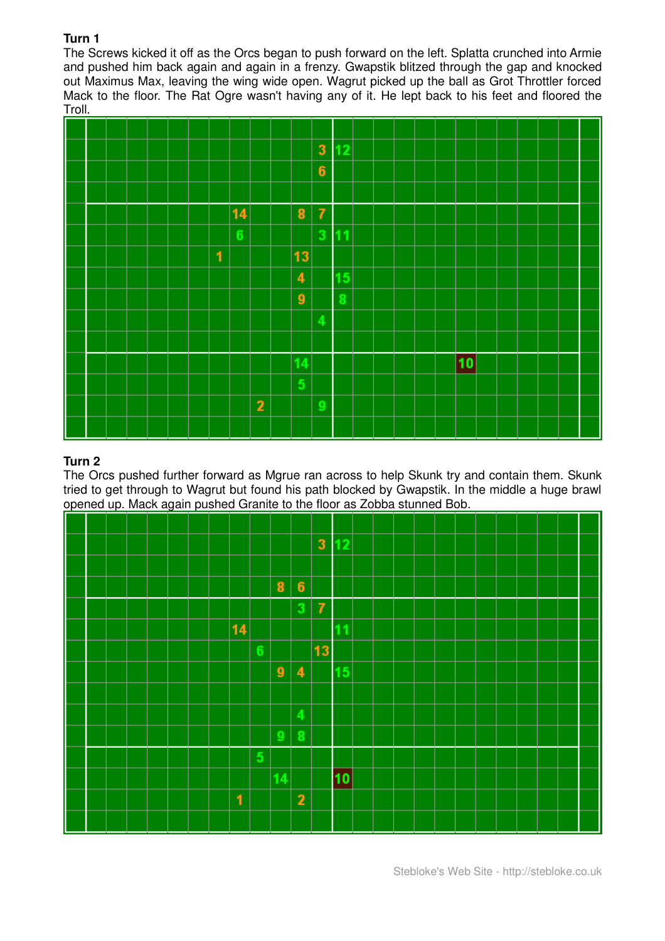The Screws kicked it off as the Orcs began to push forward on the left. Splatta crunched into Armie and pushed him back again and again in a frenzy. Gwapstik blitzed through the gap and knocked out Maximus Max, leaving the wing wide open. Wagrut picked up the ball as Grot Throttler forced Mack to the floor. The Rat Ogre wasn't having any of it. He lept back to his feet and floored the Troll.



# **Turn 2**

The Orcs pushed further forward as Mgrue ran across to help Skunk try and contain them. Skunk tried to get through to Wagrut but found his path blocked by Gwapstik. In the middle a huge brawl opened up. Mack again pushed Granite to the floor as Zobba stunned Bob.

|  |  |  |  |    |                 |                  |                         | $\mathbf{3}$   | 12 |  |  |  |  |  |  |
|--|--|--|--|----|-----------------|------------------|-------------------------|----------------|----|--|--|--|--|--|--|
|  |  |  |  |    |                 |                  |                         |                |    |  |  |  |  |  |  |
|  |  |  |  |    |                 | $\bf{8}$         | $6\phantom{1}$          |                |    |  |  |  |  |  |  |
|  |  |  |  |    |                 |                  | 3                       | $\overline{I}$ |    |  |  |  |  |  |  |
|  |  |  |  | 14 |                 |                  |                         |                | 1  |  |  |  |  |  |  |
|  |  |  |  |    | $6\phantom{1}6$ |                  |                         | 13             |    |  |  |  |  |  |  |
|  |  |  |  |    |                 | $\boldsymbol{9}$ | $\overline{\mathbf{4}}$ |                | 15 |  |  |  |  |  |  |
|  |  |  |  |    |                 |                  |                         |                |    |  |  |  |  |  |  |
|  |  |  |  |    |                 |                  | 4                       |                |    |  |  |  |  |  |  |
|  |  |  |  |    |                 | 9                | 8                       |                |    |  |  |  |  |  |  |
|  |  |  |  |    | 5               |                  |                         |                |    |  |  |  |  |  |  |
|  |  |  |  |    |                 | 14               |                         |                | 10 |  |  |  |  |  |  |
|  |  |  |  | 1  |                 |                  | $\overline{2}$          |                |    |  |  |  |  |  |  |
|  |  |  |  |    |                 |                  |                         |                |    |  |  |  |  |  |  |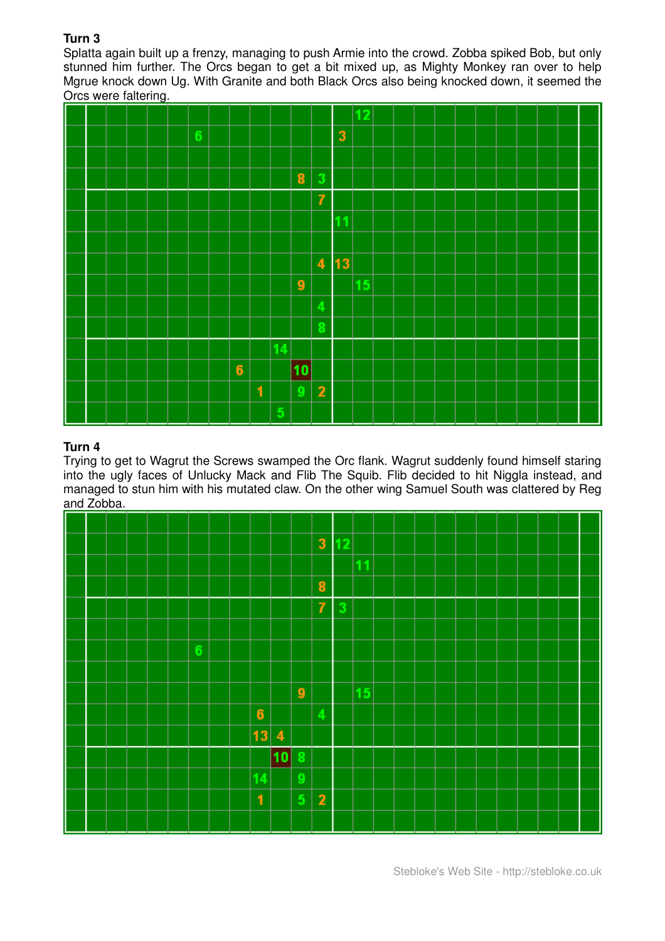Splatta again built up a frenzy, managing to push Armie into the crowd. Zobba spiked Bob, but only stunned him further. The Orcs began to get a bit mixed up, as Mighty Monkey ran over to help Mgrue knock down Ug. With Granite and both Black Orcs also being knocked down, it seemed the Orcs were faltering.



# **Turn 4**

Trying to get to Wagrut the Screws swamped the Orc flank. Wagrut suddenly found himself staring into the ugly faces of Unlucky Mack and Flib The Squib. Flib decided to hit Niggla instead, and managed to stun him with his mutated claw. On the other wing Samuel South was clattered by Reg and Zobba.

|  |  |  |                |  |              |                         |                         | $\mathbf{3}$   | 12 |    |  |  |  |  |  |  |
|--|--|--|----------------|--|--------------|-------------------------|-------------------------|----------------|----|----|--|--|--|--|--|--|
|  |  |  |                |  |              |                         |                         |                |    | 11 |  |  |  |  |  |  |
|  |  |  |                |  |              |                         |                         | ${\bf 8}$      |    |    |  |  |  |  |  |  |
|  |  |  |                |  |              |                         |                         | $\overline{7}$ | 3  |    |  |  |  |  |  |  |
|  |  |  |                |  |              |                         |                         |                |    |    |  |  |  |  |  |  |
|  |  |  | $6\phantom{1}$ |  |              |                         |                         |                |    |    |  |  |  |  |  |  |
|  |  |  |                |  |              |                         |                         |                |    |    |  |  |  |  |  |  |
|  |  |  |                |  |              |                         | $\boldsymbol{9}$        |                |    | 15 |  |  |  |  |  |  |
|  |  |  |                |  | $\bf 6$      |                         |                         | 4              |    |    |  |  |  |  |  |  |
|  |  |  |                |  | 13           | $\overline{\mathbf{4}}$ |                         |                |    |    |  |  |  |  |  |  |
|  |  |  |                |  |              | 10                      | 8                       |                |    |    |  |  |  |  |  |  |
|  |  |  |                |  | 14           |                         | 9                       |                |    |    |  |  |  |  |  |  |
|  |  |  |                |  | $\mathbf{1}$ |                         | $\overline{\mathbf{5}}$ | $\mathbf{2}$   |    |    |  |  |  |  |  |  |
|  |  |  |                |  |              |                         |                         |                |    |    |  |  |  |  |  |  |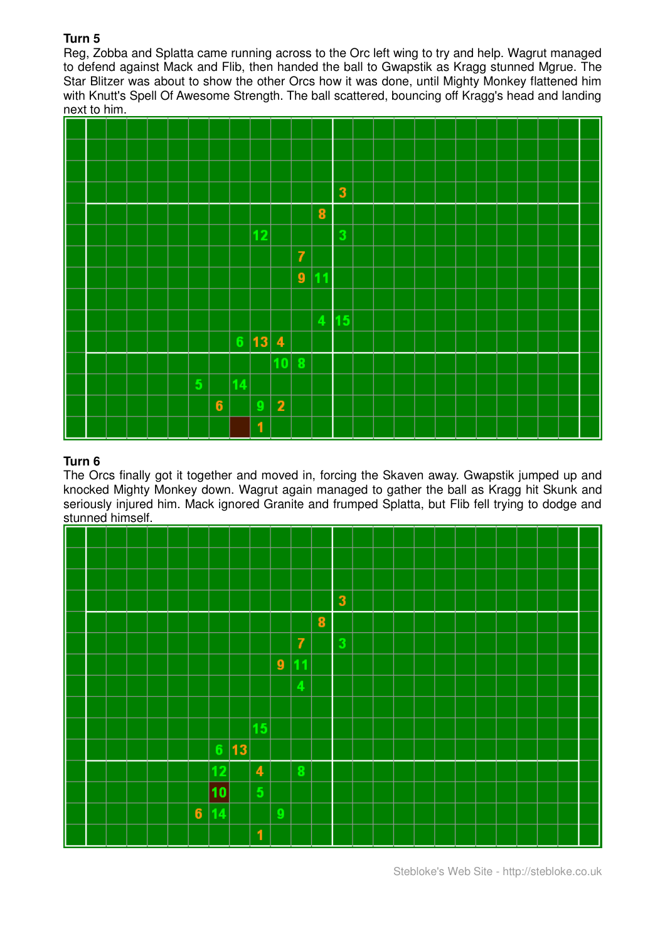Reg, Zobba and Splatta came running across to the Orc left wing to try and help. Wagrut managed to defend against Mack and Flib, then handed the ball to Gwapstik as Kragg stunned Mgrue. The Star Blitzer was about to show the other Orcs how it was done, until Mighty Monkey flattened him with Knutt's Spell Of Awesome Strength. The ball scattered, bouncing off Kragg's head and landing next to him.



# **Turn 6**

The Orcs finally got it together and moved in, forcing the Skaven away. Gwapstik jumped up and knocked Mighty Monkey down. Wagrut again managed to gather the ball as Kragg hit Skunk and seriously injured him. Mack ignored Granite and frumped Splatta, but Flib fell trying to dodge and stunned himself.



Stebloke's Web Site - http://stebloke.co.uk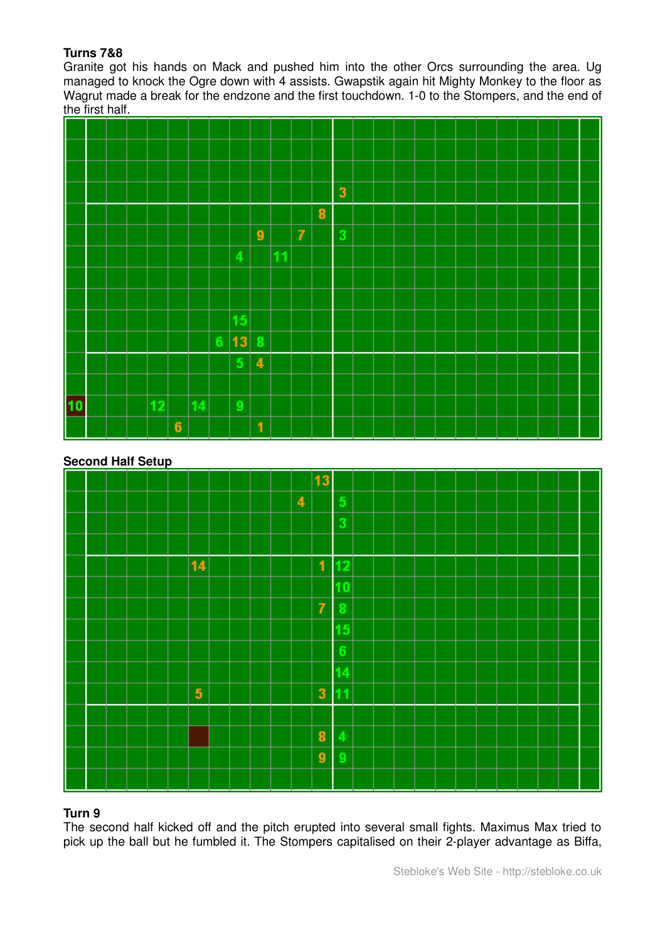## **Turns 7&8**

Granite got his hands on Mack and pushed him into the other Orcs surrounding the area. Ug managed to knock the Ogre down with 4 assists. Gwapstik again hit Mighty Monkey to the floor as Wagrut made a break for the endzone and the first touchdown. 1-0 to the Stompers, and the end of the first half.



#### **Second Half Setup**



## **Turn 9**

The second half kicked off and the pitch erupted into several small fights. Maximus Max tried to pick up the ball but he fumbled it. The Stompers capitalised on their 2-player advantage as Biffa,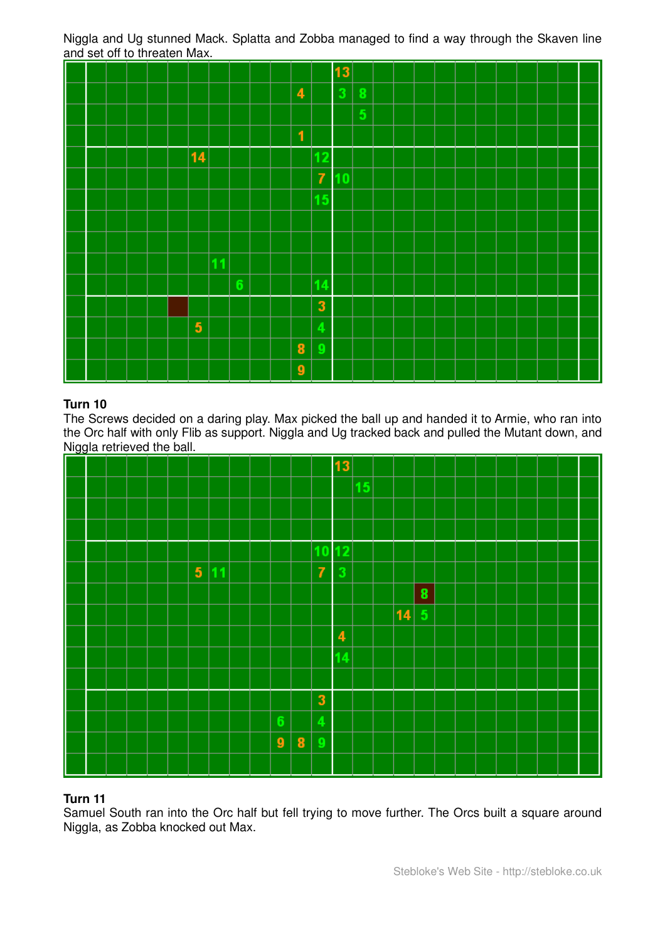Niggla and Ug stunned Mack. Splatta and Zobba managed to find a way through the Skaven line and set off to threaten Max.

|  |  |  |                         |                 |  |                  |                | 13 |   |  |  |  |  |  |  |
|--|--|--|-------------------------|-----------------|--|------------------|----------------|----|---|--|--|--|--|--|--|
|  |  |  |                         |                 |  | 4                |                | 3  | 8 |  |  |  |  |  |  |
|  |  |  |                         |                 |  |                  |                |    | 5 |  |  |  |  |  |  |
|  |  |  |                         |                 |  | $\blacksquare$   |                |    |   |  |  |  |  |  |  |
|  |  |  | 14                      |                 |  |                  | 12             |    |   |  |  |  |  |  |  |
|  |  |  |                         |                 |  |                  | $\overline{7}$ | 10 |   |  |  |  |  |  |  |
|  |  |  |                         |                 |  |                  | 15             |    |   |  |  |  |  |  |  |
|  |  |  |                         |                 |  |                  |                |    |   |  |  |  |  |  |  |
|  |  |  |                         |                 |  |                  |                |    |   |  |  |  |  |  |  |
|  |  |  |                         |                 |  |                  |                |    |   |  |  |  |  |  |  |
|  |  |  |                         | $6\phantom{1}6$ |  |                  | 14             |    |   |  |  |  |  |  |  |
|  |  |  |                         |                 |  |                  | $\mathbf{3}$   |    |   |  |  |  |  |  |  |
|  |  |  | $\overline{\mathbf{5}}$ |                 |  |                  | 4              |    |   |  |  |  |  |  |  |
|  |  |  |                         |                 |  | $\bf{8}$         | Q              |    |   |  |  |  |  |  |  |
|  |  |  |                         |                 |  | $\boldsymbol{9}$ |                |    |   |  |  |  |  |  |  |

## **Turn 10**

The Screws decided on a daring play. Max picked the ball up and handed it to Armie, who ran into the Orc half with only Flib as support. Niggla and Ug tracked back and pulled the Mutant down, and Niggla retrieved the ball.



## **Turn 11**

Samuel South ran into the Orc half but fell trying to move further. The Orcs built a square around Niggla, as Zobba knocked out Max.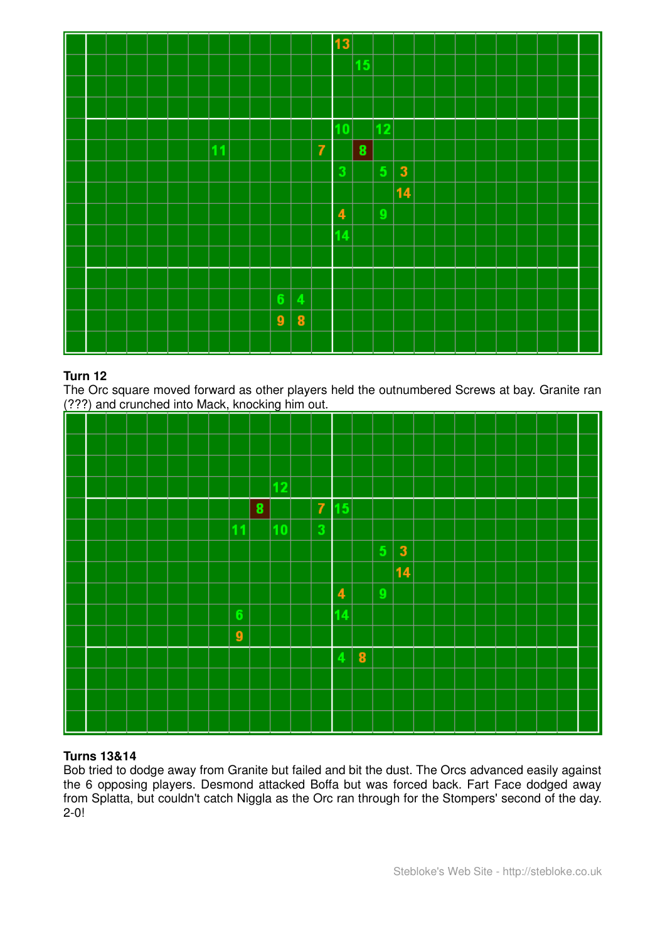|  |  |  |    |  |                  |          |                | 13                      |    |    |                         |  |  |  |  |  |
|--|--|--|----|--|------------------|----------|----------------|-------------------------|----|----|-------------------------|--|--|--|--|--|
|  |  |  |    |  |                  |          |                |                         | 15 |    |                         |  |  |  |  |  |
|  |  |  |    |  |                  |          |                |                         |    |    |                         |  |  |  |  |  |
|  |  |  |    |  |                  |          |                |                         |    |    |                         |  |  |  |  |  |
|  |  |  |    |  |                  |          |                | 10                      |    | 12 |                         |  |  |  |  |  |
|  |  |  | 11 |  |                  |          | $\overline{I}$ |                         | 8  |    |                         |  |  |  |  |  |
|  |  |  |    |  |                  |          |                | 3                       |    | 5  | $\overline{\mathbf{3}}$ |  |  |  |  |  |
|  |  |  |    |  |                  |          |                |                         |    |    | 14                      |  |  |  |  |  |
|  |  |  |    |  |                  |          |                | $\overline{\mathbf{4}}$ |    | 9  |                         |  |  |  |  |  |
|  |  |  |    |  |                  |          |                | 14                      |    |    |                         |  |  |  |  |  |
|  |  |  |    |  |                  |          |                |                         |    |    |                         |  |  |  |  |  |
|  |  |  |    |  |                  |          |                |                         |    |    |                         |  |  |  |  |  |
|  |  |  |    |  | $6\phantom{.}$   | 4        |                |                         |    |    |                         |  |  |  |  |  |
|  |  |  |    |  | $\boldsymbol{9}$ | $\bf{8}$ |                |                         |    |    |                         |  |  |  |  |  |
|  |  |  |    |  |                  |          |                |                         |    |    |                         |  |  |  |  |  |

The Orc square moved forward as other players held the outnumbered Screws at bay. Granite ran (???) and crunched into Mack, knocking him out.

|  |  |  | . , |                  |   |    |                |                         |   |   |              |  |  |  |  |  |
|--|--|--|-----|------------------|---|----|----------------|-------------------------|---|---|--------------|--|--|--|--|--|
|  |  |  |     |                  |   |    |                |                         |   |   |              |  |  |  |  |  |
|  |  |  |     |                  |   |    |                |                         |   |   |              |  |  |  |  |  |
|  |  |  |     |                  |   |    |                |                         |   |   |              |  |  |  |  |  |
|  |  |  |     |                  |   |    |                |                         |   |   |              |  |  |  |  |  |
|  |  |  |     |                  |   |    |                |                         |   |   |              |  |  |  |  |  |
|  |  |  |     |                  |   | 12 |                |                         |   |   |              |  |  |  |  |  |
|  |  |  |     |                  | 8 |    | $\overline{7}$ | 15                      |   |   |              |  |  |  |  |  |
|  |  |  |     | 11               |   | 10 | 3              |                         |   |   |              |  |  |  |  |  |
|  |  |  |     |                  |   |    |                |                         |   |   |              |  |  |  |  |  |
|  |  |  |     |                  |   |    |                |                         |   | 5 | $\mathbf{3}$ |  |  |  |  |  |
|  |  |  |     |                  |   |    |                |                         |   |   | 14           |  |  |  |  |  |
|  |  |  |     |                  |   |    |                | $\overline{\mathbf{4}}$ |   | 9 |              |  |  |  |  |  |
|  |  |  |     | $\boldsymbol{6}$ |   |    |                | 14                      |   |   |              |  |  |  |  |  |
|  |  |  |     |                  |   |    |                |                         |   |   |              |  |  |  |  |  |
|  |  |  |     | $\boldsymbol{9}$ |   |    |                |                         |   |   |              |  |  |  |  |  |
|  |  |  |     |                  |   |    |                |                         | 8 |   |              |  |  |  |  |  |
|  |  |  |     |                  |   |    |                |                         |   |   |              |  |  |  |  |  |
|  |  |  |     |                  |   |    |                |                         |   |   |              |  |  |  |  |  |
|  |  |  |     |                  |   |    |                |                         |   |   |              |  |  |  |  |  |
|  |  |  |     |                  |   |    |                |                         |   |   |              |  |  |  |  |  |
|  |  |  |     |                  |   |    |                |                         |   |   |              |  |  |  |  |  |

## **Turns 13&14**

Bob tried to dodge away from Granite but failed and bit the dust. The Orcs advanced easily against the 6 opposing players. Desmond attacked Boffa but was forced back. Fart Face dodged away from Splatta, but couldn't catch Niggla as the Orc ran through for the Stompers' second of the day. 2-0!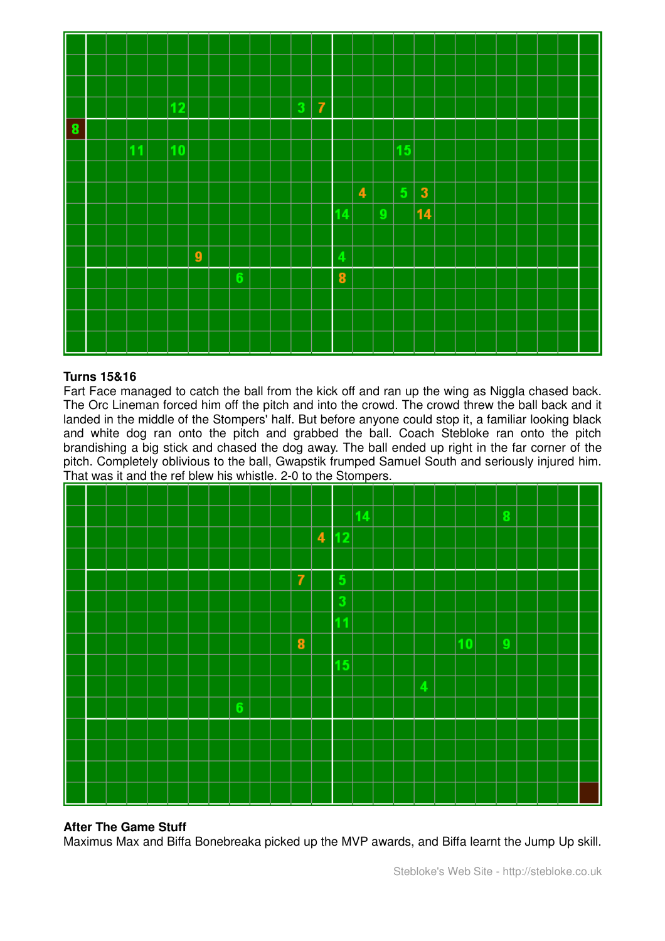

## **Turns 15&16**

Fart Face managed to catch the ball from the kick off and ran up the wing as Niggla chased back. The Orc Lineman forced him off the pitch and into the crowd. The crowd threw the ball back and it landed in the middle of the Stompers' half. But before anyone could stop it, a familiar looking black and white dog ran onto the pitch and grabbed the ball. Coach Stebloke ran onto the pitch brandishing a big stick and chased the dog away. The ball ended up right in the far corner of the pitch. Completely oblivious to the ball, Gwapstik frumped Samuel South and seriously injured him. That was it and the ref blew his whistle. 2-0 to the Stompers.



### **After The Game Stuff**

Maximus Max and Biffa Bonebreaka picked up the MVP awards, and Biffa learnt the Jump Up skill.